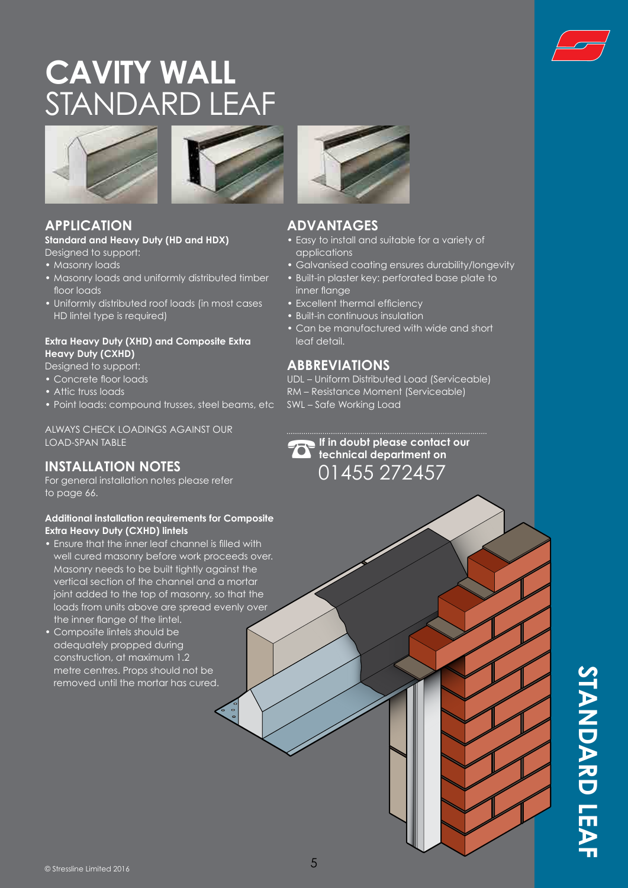

# **CAVITY WALL**  STANDARD LEAF





#### **APPLICATION**

#### **Standard and Heavy Duty (HD and HDX)** Designed to support:

- Masonry loads
- Masonry loads and uniformly distributed timber floor loads
- Uniformly distributed roof loads (in most cases HD lintel type is required)

#### **Extra Heavy Duty (XHD) and Composite Extra Heavy Duty (CXHD)**

- Designed to support:
- Concrete floor loads
- Attic truss loads
- Point loads: compound trusses, steel beams, etc

ALWAYS CHECK LOADINGS AGAINST OUR LOAD-SPAN TABLE

#### **INSTALLATION NOTES**

For general installation notes please refer to page 66.

#### **Additional installation requirements for Composite Extra Heavy Duty (CXHD) lintels**

- Ensure that the inner leaf channel is filled with well cured masonry before work proceeds over. Masonry needs to be built tightly against the vertical section of the channel and a mortar joint added to the top of masonry, so that the loads from units above are spread evenly over the inner flange of the lintel.
- Composite lintels should be adequately propped during construction, at maximum 1.2 metre centres. Props should not be removed until the mortar has cured.



#### **ADVANTAGES**

- Easy to install and suitable for a variety of applications
- Galvanised coating ensures durability/longevity
- Built-in plaster key: perforated base plate to inner flange
- Excellent thermal efficiency
- Built-in continuous insulation
- Can be manufactured with wide and short leaf detail.

#### **ABBREVIATIONS**

UDL – Uniform Distributed Load (Serviceable) RM – Resistance Moment (Serviceable) SWL – Safe Working Load

 $\sum$  If in doubt please contact our<br> **IF is doubt** please contact our<br>  $\sum_{n=1}^{\infty} 1.455$ **technical department on**  01455 272457

> **STANDARD LEA STANDARD LEAF**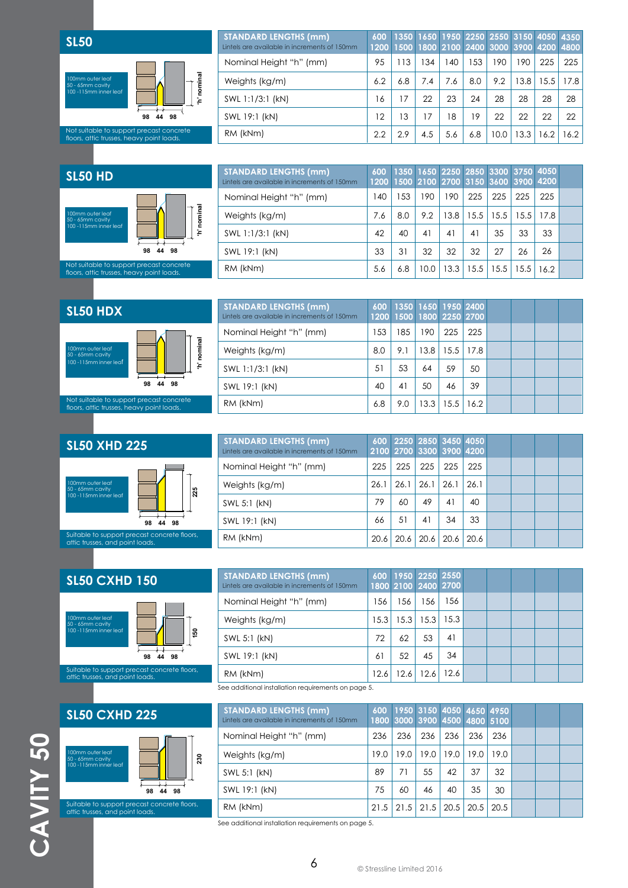

| <b>STANDARD LENGTHS (mm)</b><br>Lintels are available in increments of 150mm | 600 | 1350 1650 1950 2250 2550 3150 4050 4350<br>1200 1500 1800 2100 2400 3000 3900 4200 4800 |     |     |     |      |      |      |      |
|------------------------------------------------------------------------------|-----|-----------------------------------------------------------------------------------------|-----|-----|-----|------|------|------|------|
| Nominal Height "h" (mm)                                                      | 95  | 113                                                                                     | 134 | 140 | 153 | 190  | 190  | 225  | 225  |
| Weights (kg/m)                                                               | 6.2 | 6.8                                                                                     | 7.4 | 7.6 | 8.0 | 9.2  | 13.8 | 15.5 | 17.8 |
| SWL 1:1/3:1 (kN)                                                             | 16  | 17                                                                                      | 22  | 23  | 24  | 28   | 28   | 28   | 28   |
| SWL 19:1 (kN)                                                                | 12  | 13                                                                                      | 17  | 18  | 19  | 22   | 22   | 22   | 22   |
| RM (kNm)                                                                     | 2.2 | 2.9                                                                                     | 4.5 | 5.6 | 6.8 | 10.0 | 13.3 | 16.2 | 16.2 |

#### **SL50 HD**



| <b>STANDARD LENGTHS (mm)</b><br>Lintels are available in increments of 150mm | 600 |     |      |      |      | 1350 1650 2250 2850 3300 3750 4050  <br>1200 1500 2100 2700 3150 3600 3900 4200 |      |      |  |
|------------------------------------------------------------------------------|-----|-----|------|------|------|---------------------------------------------------------------------------------|------|------|--|
| Nominal Height "h" (mm)                                                      | 140 | 153 | 190  | 190  | 225  | 225                                                                             | 225  | 225  |  |
| Weights (kg/m)                                                               | 7.6 | 8.0 | 9.2  | 13.8 | 15.5 | 15.5                                                                            | 15.5 | 17.8 |  |
| SWL 1:1/3:1 (kN)                                                             | 42  | 40  | 41   | 41   | 41   | 35                                                                              | 33   | 33   |  |
| SWL 19:1 (kN)                                                                | 33  | 31  | 32   | 32   | 32   | 27                                                                              | 26   | 26   |  |
| RM (kNm)                                                                     | 5.6 | 6.8 | 10.0 | 13.3 | 15.5 | 15.5                                                                            | 15.5 | 16.2 |  |

#### **SL50 HDX**



| <b>STANDARD LENGTHS (mm)</b><br>Lintels are available in increments of 150mm |     | 600 1350 1650 1950 2400<br>1200 1500 1800 2250 2700 |      |      |      |  |  |
|------------------------------------------------------------------------------|-----|-----------------------------------------------------|------|------|------|--|--|
| Nominal Height "h" (mm)                                                      | 153 | 185                                                 | 190  | 225  | 225  |  |  |
| Weights (kg/m)                                                               | 8.0 | 9.1                                                 | 13.8 | 15.5 | 17.8 |  |  |
| SWL 1:1/3:1 (kN)                                                             | 51  | 53                                                  | 64   | 59   | 50   |  |  |
| SWL 19:1 (kN)                                                                | 40  | 41                                                  | 50   | 46   | 39   |  |  |
| RM (kNm)                                                                     | 6.8 | 9.0                                                 | 13.3 | 15.5 | 16.2 |  |  |

### **SL50 XHD 225**



| <b>STANDARD LENGTHS (mm)</b><br>Lintels are available in increments of 150mm |      | 600 2250 2850 3450 4050<br>2100 2700 3300 3900 4200 |      |      |      |  |  |
|------------------------------------------------------------------------------|------|-----------------------------------------------------|------|------|------|--|--|
| Nominal Height "h" (mm)                                                      | 225  | 225                                                 | 225  | 225  | 225  |  |  |
| Weights (kg/m)                                                               | 26.1 | 26.1                                                | 26.1 | 26.1 | 26.1 |  |  |
| SWL 5:1 (kN)                                                                 | 79   | 60                                                  | 49   | 41   | 40   |  |  |
| SWL 19:1 (kN)                                                                | 66   | 51                                                  | 41   | 34   | 33   |  |  |
| RM (kNm)                                                                     | 20.6 | 20.6                                                | 20.6 | 20.6 | 20.6 |  |  |

## **SL50 CXHD 150** 100mm outer leaf 50 - 65mm cavity 100 -115mm inner leaf **98 44 98 150**

Suitable to support precast concrete floors, attic trusses, and point loads.

#### **SL50 CXHD 225**

**CAVITY 50**



CAVITY 50 Suitable to support precast concrete floors, attic trusses, and point loads.

| <b>STANDARD LENGTHS (mm)</b><br>Lintels are available in increments of 150mm |      | 600 1950 2250 2550<br>1800 2100 2400 2700 |      |             |  |  |  |
|------------------------------------------------------------------------------|------|-------------------------------------------|------|-------------|--|--|--|
| Nominal Height "h" (mm)                                                      | 156  | 56                                        | 156  | 156         |  |  |  |
| Weights (kg/m)                                                               | 15.3 | 15.3                                      |      | $15.3$ 15.3 |  |  |  |
| SWL 5:1 (kN)                                                                 | 72   | 62                                        | 53   | 41          |  |  |  |
| SWL 19:1 (kN)                                                                | 61   | 52                                        | 45   | 34          |  |  |  |
| RM (kNm)                                                                     | 12.6 | $12.6^{\circ}$                            | 12.6 | 12.6        |  |  |  |

See additional installation requirements on page 5.

| <b>STANDARD LENGTHS (mm)</b><br>Lintels are available in increments of 150mm | 600  |      |                      |      |      | 1950 3150 4050 4650 4950<br>1800 3000 3900 4500 4800 5100 |  |  |
|------------------------------------------------------------------------------|------|------|----------------------|------|------|-----------------------------------------------------------|--|--|
| Nominal Height "h" (mm)                                                      | 236  | 236  | 236                  | 236  | 236  | 236                                                       |  |  |
| Weights (kg/m)                                                               | 19.0 | 19.0 | 19.0                 | 19.0 | 19.0 | 19.0                                                      |  |  |
| SWL 5:1 (kN)                                                                 | 89   | 71   | 55                   | 42   | 37   | 32                                                        |  |  |
| SWL 19:1 (kN)                                                                | 75   | 60   | 46                   | 40   | 35   | 30                                                        |  |  |
| RM (kNm)                                                                     | 21.5 |      | $21.5$   21.5   20.5 |      | 20.5 | 20.5                                                      |  |  |

See additional installation requirements on page 5.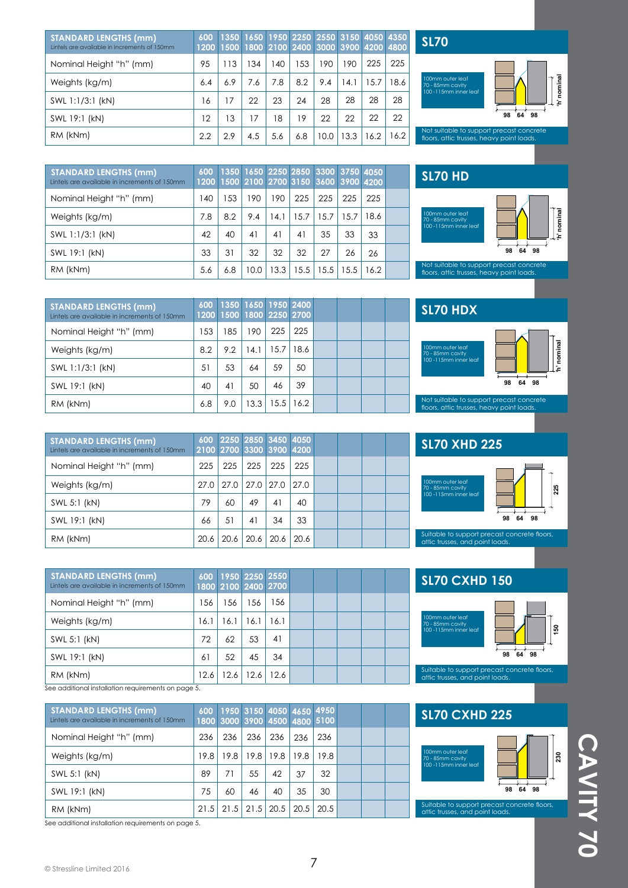| <b>STANDARD LENGTHS (mm)</b><br>Lintels are available in increments of 150mm | 600<br>1200 |     |     |     |     |      |      | 1350 1650 1950 2250 2550 3150 4050 4350<br>1500 1800 2100 2400 3000 3900 4200 4800 |      |
|------------------------------------------------------------------------------|-------------|-----|-----|-----|-----|------|------|------------------------------------------------------------------------------------|------|
| Nominal Height "h" (mm)                                                      | 95          | 113 | 34  | 140 | 53  | 190  | 190  | 225                                                                                | 225  |
| Weights (kg/m)                                                               | 6.4         | 6.9 | 7.6 | 7.8 | 8.2 | 9.4  | 14.1 | 15.7                                                                               | 18.6 |
| SWL 1:1/3:1 (kN)                                                             | 16          | 17  | 22  | 23  | 24  | 28   | 28   | 28                                                                                 | 28   |
| SWL 19:1 (kN)                                                                | 12          | 13  | 17  | 18  | 19  | 22   | 22   | 22                                                                                 | 22   |
| RM (kNm)                                                                     | 2.2         | 2.9 | 4.5 | 5.6 | 6.8 | 10.0 | 13.3 | 16.2                                                                               | 16.2 |

**SL70**



Not suitable to support precast concrete floors, attic trusses, heavy point loads.

| <b>STANDARD LENGTHS (mm)</b><br>Lintels are available in increments of 150mm | 600<br>1200 |     |      |      |      | 1350 1650 2250 2850 3300 3750 4050<br>1500 2100 2700 3150 3600 3900 4200 |               |      |  |
|------------------------------------------------------------------------------|-------------|-----|------|------|------|--------------------------------------------------------------------------|---------------|------|--|
| Nominal Height "h" (mm)                                                      | 140         | 153 | 190  | 190  | 225  | 225                                                                      | 225           | 225  |  |
| Weights (kg/m)                                                               | 7.8         | 8.2 | 9.4  | 14.1 | 15.7 | 15.7                                                                     | 15.7          | 18.6 |  |
| SWL 1:1/3:1 (kN)                                                             | 42          | 40  | 41   | 41   | 41   | 35                                                                       | 33            | 33   |  |
| SWL 19:1 (kN)                                                                | 33          | 31  | 32   | 32   | 32   | 27                                                                       | 26            | 26   |  |
| RM (kNm)                                                                     | 5.6         | 6.8 | 10.0 | 13.3 | 15.5 |                                                                          | $15.5$   15.5 | 16.2 |  |

**SL70 HD**



153 185 190 225 225  $8.2$  | 9.2 | 14.1 | 15.7 | 18.6  $51 \mid 53 \mid 64 \mid 59 \mid 50$ 40 6.8 41 9.0 50 46 39 13.3 15.5 16.2 **600 1200 1350 1500 1650 1800 1950 2250 2400 2700** Nominal Height "h" (mm) Weights (kg/m) SWL 1:1/3:1 (kN) SWL 19:1 (kN) RM (kNm) **STANDARD LENGTHS (mm)** Lintels are available in increments of 150mm

| <b>STANDARD LENGTHS (mm)</b><br>Lintels are available in increments of 150mm |      |      | 600 2250 2850 3450 4050<br>2100 2700 3300 3900 4200 |      |      |  |  |
|------------------------------------------------------------------------------|------|------|-----------------------------------------------------|------|------|--|--|
| Nominal Height "h" (mm)                                                      | 225  | 225  | 225                                                 | 225  | 225  |  |  |
| Weights (kg/m)                                                               | 27.0 | 27.0 | 27.0 27.0                                           |      | 27.0 |  |  |
| SWL 5:1 (kN)                                                                 | 79   | 60   | 49                                                  | 41   | 40   |  |  |
| SWL 19:1 (kN)                                                                | 66   | 51   | 41                                                  | 34   | 33   |  |  |
| RM (kNm)                                                                     | 20.6 | 20.6 | 20.6                                                | 20.6 | 20.6 |  |  |

| <b>STANDARD LENGTHS (mm)</b><br>Lintels are available in increments of 150mm |      |      |      | 600 1950 2250 2550<br>1800 2100 2400 2700 |  |  |  |
|------------------------------------------------------------------------------|------|------|------|-------------------------------------------|--|--|--|
| Nominal Height "h" (mm)                                                      | 156  | 156  | 156  | 156                                       |  |  |  |
| Weights (kg/m)                                                               | 16.1 | 16.1 | 16.1 | 16.1                                      |  |  |  |
| SWL 5:1 (kN)                                                                 | 72   | 62   | 53   | 41                                        |  |  |  |
| SWL 19:1 (kN)                                                                | 61   | 52   | 45   | 34                                        |  |  |  |
| RM (kNm)                                                                     | 12.6 | 12.6 | 12.6 | 12.6                                      |  |  |  |

See additional installation requirements on page 5.

| <b>STANDARD LENGTHS (mm)</b><br>Lintels are available in increments of 150mm |      |     |                      |             |      | 600 1950 3150 4050 4650 4950<br>1800 3000 3900 4500 4800 5100 |  |  |
|------------------------------------------------------------------------------|------|-----|----------------------|-------------|------|---------------------------------------------------------------|--|--|
| Nominal Height "h" (mm)                                                      | 236  | 236 | 236                  | 236         | 236  | 236                                                           |  |  |
| Weights (kg/m)                                                               | 19.8 |     | $19.8$   19.8        | $19.8$ 19.8 |      | 19.8                                                          |  |  |
| SWL 5:1 (kN)                                                                 | 89   | 71  | 55                   | 42          | 37   | 32                                                            |  |  |
| SWL 19:1 (kN)                                                                | 75   | 60  | 46                   | 40          | 35   | 30                                                            |  |  |
| RM (kNm)                                                                     | 21.5 |     | $21.5$   21.5   20.5 |             | 20.5 | 20.5                                                          |  |  |

See additional installation requirements on page 5.

| <b>SL70 HDX</b>                                                                 |                |
|---------------------------------------------------------------------------------|----------------|
| 100mm outer leaf<br>70 - 85mm cavity<br>100 -115mm inner leaf<br>98<br>98<br>64 | 5g<br>Ta<br>10 |
| historian bahasa dan kabupatèn Kabupatén Bangsarta                              |                |

Not suitable to support precast concrete floors, attic trusses, heavy point loads.

## **SL70 XHD 225**



Suitable to support precast concrete floors, attic trusses, and point loads.

### **SL70 CXHD 150**





Suitable to support precast concrete floors, attic trusses, and point loads.

#### **SL70 CXHD 225**



Suitable to support precast concrete floors, attic trusses, and point loads.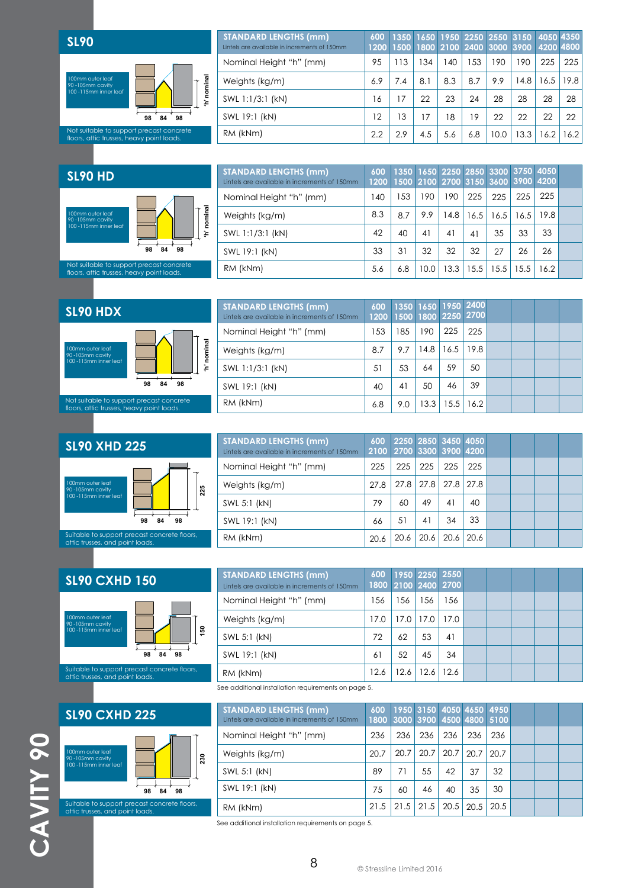

| 600<br>1200 |     |     |     |     |      |      |      |                                                                                    |
|-------------|-----|-----|-----|-----|------|------|------|------------------------------------------------------------------------------------|
| 95          | 113 | 134 | 140 | 153 | 190  | 190  | 225  | 225                                                                                |
| 6.9         | 7.4 | 8.1 | 8.3 | 8.7 | 9.9  | 14.8 | 16.5 | 19.8                                                                               |
| 16          | 17  | 22  | 23  | 24  | 28   | 28   | 28   | 28                                                                                 |
| 12          | 13  | 17  | 18  | 19  | 22   | 22   | 22   | 22                                                                                 |
| 2.2         | 2.9 | 4.5 | 5.6 | 6.8 | 10.0 | 13.3 | 16.2 | 16.2                                                                               |
|             |     |     |     |     |      |      |      | 1350 1650 1950 2250 2550 3150 4050 4350<br>1500 1800 2100 2400 3000 3900 4200 4800 |

#### **SL90 HD**



| <b>STANDARD LENGTHS (mm)</b><br>Lintels are available in increments of 150mm | 600 | 1350 1650 2250 2850 3300 3750 4050<br>1200 1500 2100 2700 3150 3600 3900 4200 |      |      |      |      |      |      |  |
|------------------------------------------------------------------------------|-----|-------------------------------------------------------------------------------|------|------|------|------|------|------|--|
| Nominal Height "h" (mm)                                                      | 140 | 153                                                                           | 190  | 190  | 225  | 225  | 225  | 225  |  |
| Weights (kg/m)                                                               | 8.3 | 8.7                                                                           | 9.9  | 14.8 | 16.5 | 16.5 | 16.5 | 19.8 |  |
| SWL 1:1/3:1 (kN)                                                             | 42  | 40                                                                            | 41   | 41   | 41   | 35   | 33   | 33   |  |
| SWL 19:1 (kN)                                                                | 33  | 31                                                                            | 32   | 32   | 32   | 27   | 26   | 26   |  |
| RM (kNm)                                                                     | 5.6 | 6.8                                                                           | 10.0 | 13.3 | 15.5 | 15.5 | 15.5 | 16.2 |  |

#### **SL90 HDX**  h' nominal **'h' nominal** 100mm outer leaf 90 -105mm cavity 100 -115mm inner leaf **98 84 98** Not suitable to support precast concrete floors, attic trusses, heavy point loads.

| <b>STANDARD LENGTHS (mm)</b><br>Lintels are available in increments of 150mm | 600 |     |      | 1350 1650 1950 2400<br>1200 1500 1800 2250 2700 |      |  |  |
|------------------------------------------------------------------------------|-----|-----|------|-------------------------------------------------|------|--|--|
| Nominal Height "h" (mm)                                                      | 153 | 185 | 190  | 225                                             | 225  |  |  |
| Weights (kg/m)                                                               | 8.7 | 9.7 | 14.8 | 16.5                                            | 19.8 |  |  |
| SWL 1:1/3:1 (kN)                                                             | 51  | 53  | 64   | 59                                              | 50   |  |  |
| SWL 19:1 (kN)                                                                | 40  | 41  | 50   | 46                                              | 39   |  |  |
| RM (kNm)                                                                     | 6.8 | 9.0 | 13.3 | 15.5                                            | 16.2 |  |  |

### **SL90 XHD 225** Suitable to support precast concrete floors, attic trusses, and point loads. m outer leaf 90 -105mm cavity 100 -115mm inner leaf **98 84 98 225**

| <b>STANDARD LENGTHS (mm)</b><br>Lintels are available in increments of 150mm | 600<br>2100 | 2250 2850 3450 4050<br>2700 3300 3900 4200 |      |               |      |  |  |
|------------------------------------------------------------------------------|-------------|--------------------------------------------|------|---------------|------|--|--|
| Nominal Height "h" (mm)                                                      | 225         | 225                                        | 225  | 225           | 225  |  |  |
| Weights (kg/m)                                                               | 27.8        | 27.8                                       |      | $27.8$   27.8 | 27.8 |  |  |
| SWL 5:1 (kN)                                                                 | 79          | 60                                         | 49   | 41            | 40   |  |  |
| SWL 19:1 (kN)                                                                | 66          | 51                                         | 41   | 34            | 33   |  |  |
| RM (kNm)                                                                     | 20.6        | 20.6                                       | 20.6 | 20.6          | 20.6 |  |  |



Suitable to support precast concrete floors, attic trusses, and point loads.

#### **SL90 CXHD 225**

**CAVITY 90**

**CAVITY 90** 



| <b>STANDARD LENGTHS (mm)</b><br>Lintels are available in increments of 150mm | 600  |      |      | 1950 2250 2550<br>1800 2100 2400 2700 |  |  |  |
|------------------------------------------------------------------------------|------|------|------|---------------------------------------|--|--|--|
| Nominal Height "h" (mm)                                                      | 156  | 56   | 156  | 156                                   |  |  |  |
| Weights (kg/m)                                                               | 17.0 | 17.0 | 17.0 | 17.0                                  |  |  |  |
| SWL 5:1 (kN)                                                                 | 72   | 62   | 53   | 41                                    |  |  |  |
| SWL 19:1 (kN)                                                                | 61   | 52   | 45   | 34                                    |  |  |  |
| RM (kNm)                                                                     | 12.6 | 12.6 | 12.6 | 12.6                                  |  |  |  |

See additional installation requirements on page 5.

| <b>STANDARD LENGTHS (mm)</b><br>Lintels are available in increments of 150mm | 600  | 1950 3150 4050 4650 4950<br>1800 3000 3900 4500 4800 5100 |      |     |                  |      |  |  |
|------------------------------------------------------------------------------|------|-----------------------------------------------------------|------|-----|------------------|------|--|--|
| Nominal Height "h" (mm)                                                      | 236  | 236                                                       | 236  | 236 | 236              | 236  |  |  |
| Weights (kg/m)                                                               | 20.7 | 20.7                                                      | 20.7 |     | $20.7 \mid 20.7$ | 20.7 |  |  |
| SWL 5:1 (kN)                                                                 | 89   | 71                                                        | 55   | 42  | 37               | 32   |  |  |
| SWL 19:1 (kN)                                                                | 75   | 60                                                        | 46   | 40  | 35               | 30   |  |  |
| RM (kNm)                                                                     | 21.5 | 21.5                                                      | 21.5 |     | $20.5$ 20.5      | 20.5 |  |  |

See additional installation requirements on page 5.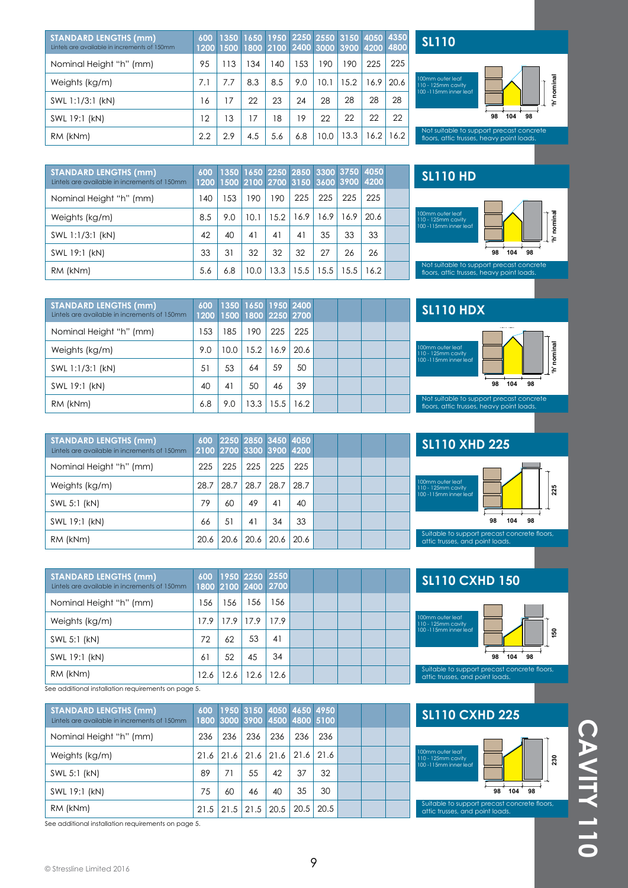| <b>STANDARD LENGTHS (mm)</b><br>Lintels are available in increments of 150mm | 600 |     |     |     |     |      | 1350 1650 1950 2250 2550 3150 4050 4350<br>1200 1500 1800 2100 2400 3000 3900 4200 4800 |      |      |
|------------------------------------------------------------------------------|-----|-----|-----|-----|-----|------|-----------------------------------------------------------------------------------------|------|------|
| Nominal Height "h" (mm)                                                      | 95  | 113 | 134 | 140 | 153 | 190  | 190                                                                                     | 225  | 225  |
| Weights (kg/m)                                                               | 7.1 | 7.7 | 8.3 | 8.5 | 9.0 | 10.1 | 15.2                                                                                    | 16.9 | 20.6 |
| SWL 1:1/3:1 (kN)                                                             | 16  | 17  | 22  | 23  | 24  | 28   | 28                                                                                      | 28   | 28   |
| SWL 19:1 (kN)                                                                | 12  | 13  | 17  | 18  | 19  | 22   | 22                                                                                      | 22   | 22   |
| RM (kNm)                                                                     | 2.2 | 2.9 | 4.5 | 5.6 | 6.8 | 10.0 | 13.3                                                                                    | 16.2 | 16.2 |

**SL110**



Not suitable to support precast concrete floors, attic trusses, heavy point loads.

| <b>STANDARD LENGTHS (mm)</b><br>Lintels are available in increments of 150mm | 600<br>1200 |     |      |      | 1500 2100 2700 3150 3600 3900 4200 |      |      | 1350 1650 2250 2850 3300 3750 4050 |  |
|------------------------------------------------------------------------------|-------------|-----|------|------|------------------------------------|------|------|------------------------------------|--|
| Nominal Height "h" (mm)                                                      | 140         | 153 | 190  | 190  | 225                                | 225  | 225  | 225                                |  |
| Weights (kg/m)                                                               | 8.5         | 9.0 | 10.1 | 15.2 | 16.9                               | 16.9 | 16.9 | 20.6                               |  |
| SWL 1:1/3:1 (kN)                                                             | 42          | 40  | 41   | 41   | 41                                 | 35   | 33   | 33                                 |  |
| SWL 19:1 (kN)                                                                | 33          | 31  | 32   | 32   | 32                                 | 27   | 26   | 26                                 |  |
| RM (kNm)                                                                     | 5.6         | 6.8 | 10.0 | 13.3 | 15.5                               | 15.5 | 15.5 | 16.2                               |  |



| <b>STANDARD LENGTHS (mm)</b><br>Lintels are available in increments of 150mm | 600 | 1350 1650 1950 2400<br>1200 1500 1800 2250 2700 |      |               |      |  |  |
|------------------------------------------------------------------------------|-----|-------------------------------------------------|------|---------------|------|--|--|
| Nominal Height "h" (mm)                                                      | 153 | 185                                             | 190  | 225           | 225  |  |  |
| Weights (kg/m)                                                               | 9.0 | 10.0 <sup>°</sup>                               |      | $15.2$   16.9 | 20.6 |  |  |
| SWL 1:1/3:1 (kN)                                                             | 51  | 53                                              | 64   | 59            | 50   |  |  |
| SWL 19:1 (kN)                                                                | 40  | 41                                              | 50   | 46            | 39   |  |  |
| RM (kNm)                                                                     | 6.8 | 9.0                                             | 13.3 | 15.5          | 16.2 |  |  |

| <b>STANDARD LENGTHS (mm)</b><br>Lintels are available in increments of 150mm | 600  |      | 2250 2850 3450 4050<br>2100 2700 3300 3900 4200 |      |      |  |  |
|------------------------------------------------------------------------------|------|------|-------------------------------------------------|------|------|--|--|
| Nominal Height "h" (mm)                                                      | 225  | 225  | 225                                             | 225  | 225  |  |  |
| Weights (kg/m)                                                               | 28.7 | 28.7 | 28.7                                            | 28.7 | 28.7 |  |  |
| SWL 5:1 (kN)                                                                 | 79   | 60   | 49                                              | 41   | 40   |  |  |
| SWL 19:1 (kN)                                                                | 66   | 51   | 41                                              | 34   | 33   |  |  |
| RM (kNm)                                                                     | 20.6 | 20.6 | 20.6                                            | 20.6 | 20.6 |  |  |

| <b>STANDARD LENGTHS (mm)</b><br>Lintels are available in increments of 150mm |      |      |                 | 600 1950 2250 2550<br>1800 2100 2400 2700 |  |  |  |
|------------------------------------------------------------------------------|------|------|-----------------|-------------------------------------------|--|--|--|
| Nominal Height "h" (mm)                                                      | 156  | 56   | 156             | 156                                       |  |  |  |
| Weights (kg/m)                                                               | 17.9 | 17.9 | <sup>17.9</sup> | 17.9                                      |  |  |  |
| SWL 5:1 (kN)                                                                 | 72   | 62   | 53              | 41                                        |  |  |  |
| SWL 19:1 (kN)                                                                | 61   | 52   | 45              | 34                                        |  |  |  |
| RM (kNm)                                                                     | 12.6 | 12.6 | 12.6            | 12.6                                      |  |  |  |

See additional installation requirements on page 5.

| <b>STANDARD LENGTHS (mm)</b><br>Lintels are available in increments of 150mm |      |      |      |      |      | 600 1950 3150 4050 4650 4950<br>1800 3000 3900 4500 4800 5100 |  |  |
|------------------------------------------------------------------------------|------|------|------|------|------|---------------------------------------------------------------|--|--|
| Nominal Height "h" (mm)                                                      | 236  | 236  | 236  | 236  | 236  | 236                                                           |  |  |
| Weights (kg/m)                                                               | 21.6 | 21.6 | 21.6 | 21.6 | 21.6 | 21.6                                                          |  |  |
| SWL 5:1 (kN)                                                                 | 89   | 71   | 55   | 42   | 37   | 32                                                            |  |  |
| SWL 19:1 (kN)                                                                | 75   | 60   | 46   | 40   | 35   | 30                                                            |  |  |
| RM (kNm)                                                                     | 21.5 | 21.5 | 21.5 | 20.5 | 20.5 | 20.5                                                          |  |  |

See additional installation requirements on page 5.



Not suitable to support precast concrete floors, attic trusses, heavy point loads.

**98 104 98**

**'h' nominal**

nominal ż

100mm outer leaf 110 - 125mm cavity 100 -115mm inner leaf

**SL110 HDX** 



## **SL110 CXHD 150**



Suitable to support precast concrete floors, attic trusses, and point loads.

#### **SL110 CXHD 225**

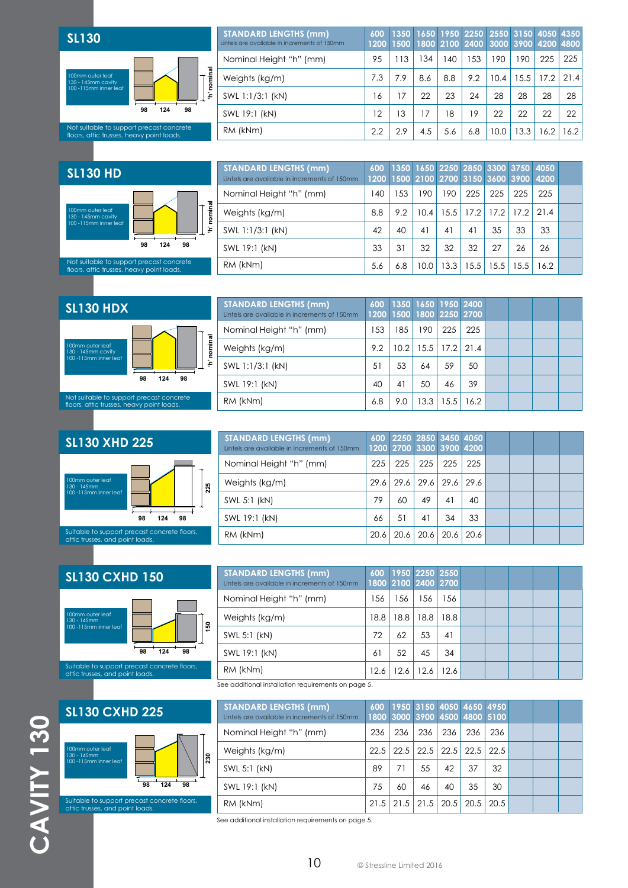

| <b>STANDARD LENGTHS (mm)</b><br>Lintels are available in increments of 150mm | 600<br>1200 |     |     |               | 1350 1650 1950 2250 2550 3150 4050 4350<br>1500 1800 2100 2400 3000 3900 4200 4800 |      |      |      |      |
|------------------------------------------------------------------------------|-------------|-----|-----|---------------|------------------------------------------------------------------------------------|------|------|------|------|
| Nominal Height "h" (mm)                                                      | 95          | 113 | 134 | 140           | 153                                                                                | 190  | 190  | 225  | 225  |
| Weights (kg/m)                                                               | 7.3         | 7.9 | 8.6 | 8.8           | 9.2                                                                                | 10.4 | 15.5 | 17.2 | 21.4 |
| SWL 1:1/3:1 (kN)                                                             | 16          | 17  | 22  | 23            | 24                                                                                 | 28   | 28   | 28   | 28   |
| SWL 19:1 (kN)                                                                | 12          | 13  | 17  | $\mathcal{B}$ | 19                                                                                 | 22   | 22   | 22   | 22   |
| RM (kNm)                                                                     | 2.2         | 2.9 | 4.5 | 5.6           | 6.8                                                                                | 10.0 | 13.3 | 16.2 | 16.2 |
|                                                                              |             |     |     |               |                                                                                    |      |      |      |      |

#### **SL130 HD**



| <b>STANDARD LENGTHS (mm)</b><br>Lintels are available in increments of 150mm | 600 |     |      |      |             |      | 1200 1500 2100 2700 3150 3600 3900 4200 | 1350 1650 2250 2850 3300 3750 4050 |  |
|------------------------------------------------------------------------------|-----|-----|------|------|-------------|------|-----------------------------------------|------------------------------------|--|
| Nominal Height "h" (mm)                                                      | 140 | 153 | 190  | 190  | 225         | 225  | 225                                     | 225                                |  |
| Weights (kg/m)                                                               | 8.8 | 9.2 | 10.4 | 15.5 | 17.2   17.2 |      | 17.2                                    | 21.4                               |  |
| SWL 1:1/3:1 (kN)                                                             | 42  | 40  | 41   | 41   | 41          | 35   | 33                                      | 33                                 |  |
| SWL 19:1 (kN)                                                                | 33  | 31  | 32   | 32   | 32          | 27   | 26                                      | 26                                 |  |
| RM (kNm)                                                                     | 5.6 | 6.8 | 10.0 | 13.3 | 15.5        | 15.5 | 15.5                                    | 16.2                               |  |

# **SL130 HDX**  100mm outer leaf 130 - 145mm cavity 100 -115mm inner leaf

Not suitable to support precast concrete floors, attic trusses, heavy point loads.

**98 124 98**

**'h' nominal**

'h' nominal

| <b>STANDARD LENGTHS (mm)</b><br>Lintels are available in increments of 150mm |     | 600 1350 1650 1950 2400<br>1200 1500 1800 2250 2700 |        |                      |      |  |  |
|------------------------------------------------------------------------------|-----|-----------------------------------------------------|--------|----------------------|------|--|--|
| Nominal Height "h" (mm)                                                      | 153 | 185                                                 | 190    | 225                  | 225  |  |  |
| Weights (kg/m)                                                               | 9.2 | 10.2                                                |        | $15.5$   17.2   21.4 |      |  |  |
| SWL 1:1/3:1 (kN)                                                             | 51  | 53                                                  | 64     | 59                   | 50   |  |  |
| SWL 19:1 (kN)                                                                | 40  | 41                                                  | 50     | 46                   | 39   |  |  |
| RM (kNm)                                                                     | 6.8 | 9.0                                                 | $13.3$ | 15.5                 | 16.2 |  |  |

#### **SL130 XHD 225**



| <b>STANDARD LENGTHS (mm)</b><br>Lintels are available in increments of 150mm | 600  |      | 2250 2850 3450 4050<br>1200 2700 3300 3900 4200 |      |      |  |  |
|------------------------------------------------------------------------------|------|------|-------------------------------------------------|------|------|--|--|
| Nominal Height "h" (mm)                                                      | 225  | 225  | 225                                             | 225  | 225  |  |  |
| Weights (kg/m)                                                               | 29.6 | 29.6 | 29.6                                            | 29.6 | 29.6 |  |  |
| SWL 5:1 (kN)                                                                 | 79   | 60   | 49                                              | 41   | 40   |  |  |
| SWL 19:1 (kN)                                                                | 66   | 51   | 41                                              | 34   | 33   |  |  |
| RM (kNm)                                                                     | 20.6 | 20.6 | 20.6                                            | 20.6 | 20.6 |  |  |

## **SL130 CXHD 150**





Suitable to support precast concrete floors, attic trusses, and point loads.

| <b>STANDARD LENGTHS (mm)</b><br>Lintels are available in increments of 150mm | 600  |      | 1800 2100 2400 2700 | 1950 2250 2550 |  |  |  |
|------------------------------------------------------------------------------|------|------|---------------------|----------------|--|--|--|
| Nominal Height "h" (mm)                                                      | 156  | 156  | 156                 | 156            |  |  |  |
| Weights (kg/m)                                                               | 18.8 | 18.8 | 18.8                | 18.8           |  |  |  |
| SWL 5:1 (kN)                                                                 | 72   | 62   | 53                  | 41             |  |  |  |
| SWL 19:1 (kN)                                                                | 61   | 52   | 45                  | 34             |  |  |  |
| RM (kNm)                                                                     | 12.6 | 12.6 | 12.6                | 12.6           |  |  |  |
|                                                                              |      |      |                     |                |  |  |  |

See additional installation requirements on page 5.

| <b>STANDARD LENGTHS (mm)</b><br>Lintels are available in increments of 150mm |      |      |     | 600 1950 3150 4050 4650 4950<br>1800 3000 3900 4500 4800 5100 |               |     |  |  |
|------------------------------------------------------------------------------|------|------|-----|---------------------------------------------------------------|---------------|-----|--|--|
| Nominal Height "h" (mm)                                                      | 236  | 236  | 236 | 236                                                           | 236           | 236 |  |  |
| Weights (kg/m)                                                               | 22.5 | 22.5 |     | 22.5 22.5 22.5 22.5                                           |               |     |  |  |
| SWL 5:1 (kN)                                                                 | 89   | 71   | 55  | 42                                                            | 37            | 32  |  |  |
| SWL 19:1 (kN)                                                                | 75   | 60   | 46  | 40                                                            | 35            | 30  |  |  |
| RM (kNm)                                                                     | 21.5 | 21.5 |     | $21.5$ 20.5                                                   | $20.5$   20.5 |     |  |  |

See additional installation requirements on page 5.

10